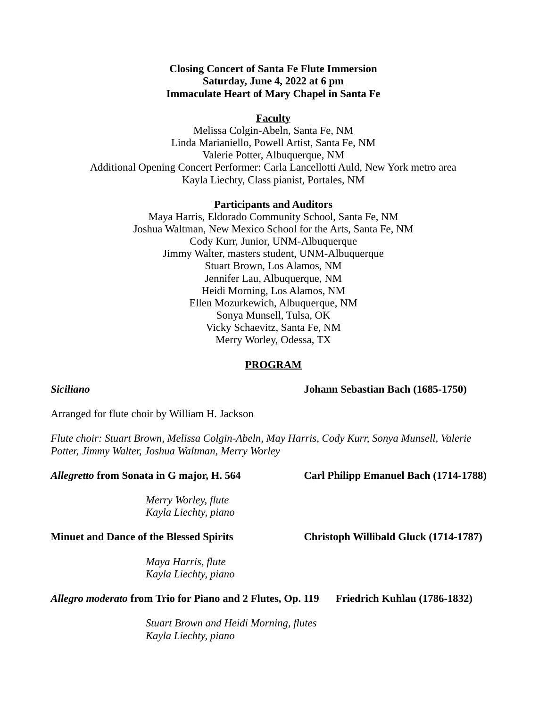# **Closing Concert of Santa Fe Flute Immersion Saturday, June 4, 2022 at 6 pm Immaculate Heart of Mary Chapel in Santa Fe**

#### **Faculty**

Melissa Colgin-Abeln, Santa Fe, NM Linda Marianiello, Powell Artist, Santa Fe, NM Valerie Potter, Albuquerque, NM Additional Opening Concert Performer: Carla Lancellotti Auld, New York metro area Kayla Liechty, Class pianist, Portales, NM

#### **Participants and Auditors**

Maya Harris, Eldorado Community School, Santa Fe, NM Joshua Waltman, New Mexico School for the Arts, Santa Fe, NM Cody Kurr, Junior, UNM-Albuquerque Jimmy Walter, masters student, UNM-Albuquerque Stuart Brown, Los Alamos, NM Jennifer Lau, Albuquerque, NM Heidi Morning, Los Alamos, NM Ellen Mozurkewich, Albuquerque, NM Sonya Munsell, Tulsa, OK Vicky Schaevitz, Santa Fe, NM Merry Worley, Odessa, TX

#### **PROGRAM**

#### *Siciliano* **Johann Sebastian Bach (1685-1750)**

Arranged for flute choir by William H. Jackson

*Flute choir: Stuart Brown, Melissa Colgin-Abeln, May Harris, Cody Kurr, Sonya Munsell, Valerie Potter, Jimmy Walter, Joshua Waltman, Merry Worley*

# *Allegretto* **from Sonata in G major, H. 564 Carl Philipp Emanuel Bach (1714-1788)**

*Merry Worley, flute Kayla Liechty, piano*

### **Minuet and Dance of the Blessed Spirits Christoph Willibald Gluck (1714-1787)**

*Maya Harris, flute Kayla Liechty, piano*

# *Allegro moderato* **from Trio for Piano and 2 Flutes, Op. 119 Friedrich Kuhlau (1786-1832)**

*Stuart Brown and Heidi Morning, flutes Kayla Liechty, piano*